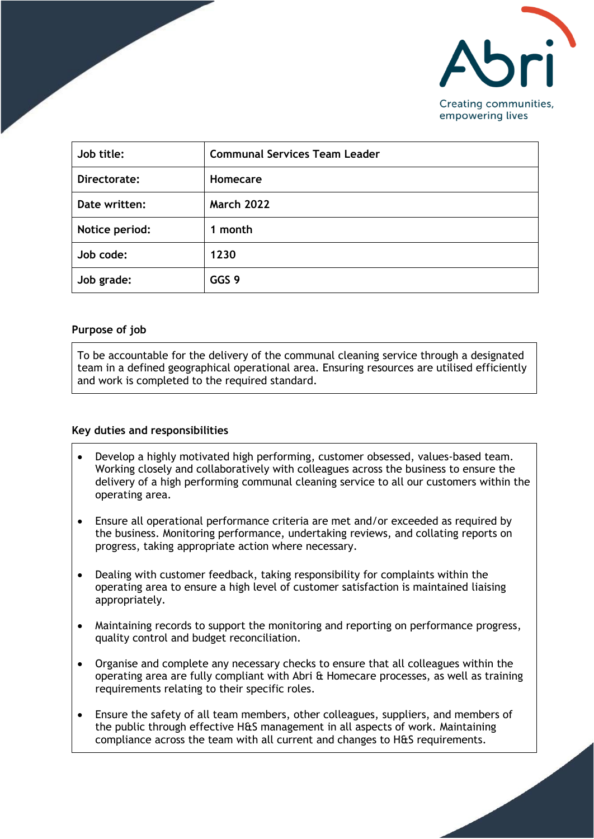

| Job title:     | <b>Communal Services Team Leader</b> |
|----------------|--------------------------------------|
| Directorate:   | <b>Homecare</b>                      |
| Date written:  | <b>March 2022</b>                    |
| Notice period: | 1 month                              |
| Job code:      | 1230                                 |
| Job grade:     | GGS 9                                |

## **Purpose of job**

To be accountable for the delivery of the communal cleaning service through a designated team in a defined geographical operational area. Ensuring resources are utilised efficiently and work is completed to the required standard.

## **Key duties and responsibilities**

- Develop a highly motivated high performing, customer obsessed, values-based team. Working closely and collaboratively with colleagues across the business to ensure the delivery of a high performing communal cleaning service to all our customers within the operating area.
- Ensure all operational performance criteria are met and/or exceeded as required by the business. Monitoring performance, undertaking reviews, and collating reports on progress, taking appropriate action where necessary.
- Dealing with customer feedback, taking responsibility for complaints within the operating area to ensure a high level of customer satisfaction is maintained liaising appropriately.
- Maintaining records to support the monitoring and reporting on performance progress, quality control and budget reconciliation.
- Organise and complete any necessary checks to ensure that all colleagues within the operating area are fully compliant with Abri & Homecare processes, as well as training requirements relating to their specific roles.
- Ensure the safety of all team members, other colleagues, suppliers, and members of the public through effective H&S management in all aspects of work. Maintaining compliance across the team with all current and changes to H&S requirements.